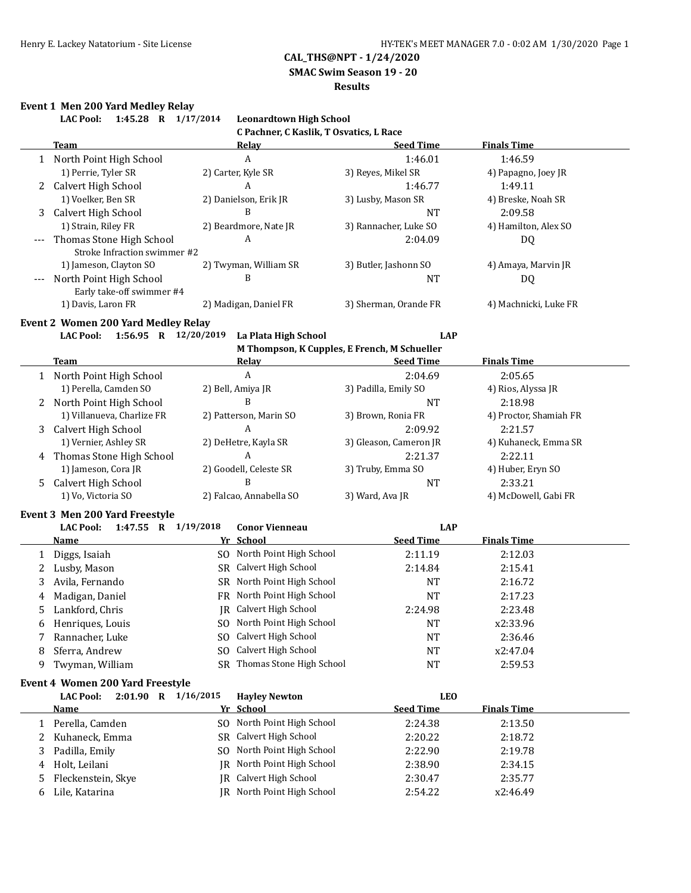**SMAC Swim Season 19 - 20**

#### **Results**

# **Event 1 Men 200 Yard Medley Relay**

|              |                                                          | <b>Leonardtown High School</b>                       |                                              |                        |
|--------------|----------------------------------------------------------|------------------------------------------------------|----------------------------------------------|------------------------|
|              |                                                          | C Pachner, C Kaslik, T Osvatics, L Race              |                                              |                        |
|              | <b>Team</b>                                              | <u>Relay</u>                                         | <b>Seed Time</b>                             | <b>Finals Time</b>     |
|              | 1 North Point High School                                | $\boldsymbol{A}$                                     | 1:46.01                                      | 1:46.59                |
|              | 1) Perrie, Tyler SR                                      | 2) Carter, Kyle SR                                   | 3) Reyes, Mikel SR                           | 4) Papagno, Joey JR    |
|              | 2 Calvert High School                                    | A                                                    | 1:46.77                                      | 1:49.11                |
|              | 1) Voelker, Ben SR                                       | 2) Danielson, Erik JR                                | 3) Lusby, Mason SR                           | 4) Breske, Noah SR     |
| 3            | Calvert High School                                      | B                                                    | <b>NT</b>                                    | 2:09.58                |
|              | 1) Strain, Riley FR                                      | 2) Beardmore, Nate JR                                | 3) Rannacher, Luke SO                        | 4) Hamilton, Alex SO   |
|              | Thomas Stone High School<br>Stroke Infraction swimmer #2 | A                                                    | 2:04.09                                      | DQ                     |
|              | 1) Jameson, Clayton SO                                   | 2) Twyman, William SR                                | 3) Butler, Jashonn SO                        | 4) Amaya, Marvin JR    |
|              | North Point High School<br>Early take-off swimmer #4     | B                                                    | <b>NT</b>                                    | DQ                     |
|              | 1) Davis, Laron FR                                       | 2) Madigan, Daniel FR                                | 3) Sherman, Orande FR                        | 4) Machnicki, Luke FR  |
|              | <b>Event 2 Women 200 Yard Medley Relay</b>               |                                                      |                                              |                        |
|              | 1:56.95 R 12/20/2019<br><b>LAC Pool:</b>                 | La Plata High School                                 | <b>LAP</b>                                   |                        |
|              |                                                          |                                                      | M Thompson, K Cupples, E French, M Schueller |                        |
|              | <b>Team</b>                                              | <b>Relay</b>                                         | <b>Seed Time</b>                             | <b>Finals Time</b>     |
|              | 1 North Point High School                                | $\boldsymbol{A}$                                     | 2:04.69                                      | 2:05.65                |
|              | 1) Perella, Camden SO                                    | 2) Bell, Amiya JR                                    | 3) Padilla, Emily SO                         | 4) Rios, Alyssa JR     |
|              | 2 North Point High School                                | B                                                    | <b>NT</b>                                    | 2:18.98                |
|              | 1) Villanueva, Charlize FR                               | 2) Patterson, Marin SO                               | 3) Brown, Ronia FR                           | 4) Proctor, Shamiah FR |
| 3            | Calvert High School                                      | A                                                    | 2:09.92                                      | 2:21.57                |
|              | 1) Vernier, Ashley SR                                    | 2) DeHetre, Kayla SR                                 | 3) Gleason, Cameron JR                       | 4) Kuhaneck, Emma SR   |
|              | 4 Thomas Stone High School                               | A                                                    | 2:21.37                                      | 2:22.11                |
|              | 1) Jameson, Cora JR                                      | 2) Goodell, Celeste SR                               | 3) Truby, Emma SO                            | 4) Huber, Eryn SO      |
| 5            | Calvert High School                                      | B                                                    | <b>NT</b>                                    | 2:33.21                |
|              | 1) Vo, Victoria SO                                       | 2) Falcao, Annabella SO                              | 3) Ward, Ava JR                              | 4) McDowell, Gabi FR   |
|              |                                                          |                                                      |                                              |                        |
|              |                                                          |                                                      |                                              |                        |
|              | Event 3 Men 200 Yard Freestyle                           |                                                      |                                              |                        |
|              | <b>LAC Pool:</b><br>1:47.55 R 1/19/2018                  | <b>Conor Vienneau</b>                                | <b>LAP</b>                                   |                        |
|              | Name                                                     | Yr School                                            | <b>Seed Time</b>                             | <b>Finals Time</b>     |
| 1            | Diggs, Isaiah                                            | SO North Point High School                           | 2:11.19                                      | 2:12.03                |
| 2            | Lusby, Mason                                             | SR Calvert High School                               | 2:14.84                                      | 2:15.41                |
| 3            | Avila, Fernando                                          | SR North Point High School                           | <b>NT</b>                                    | 2:16.72                |
| 4            | Madigan, Daniel                                          | FR North Point High School                           | <b>NT</b>                                    | 2:17.23                |
|              | 5 Lankford, Chris                                        | JR Calvert High School                               | 2:24.98                                      | 2:23.48                |
| 6            | Henriques, Louis                                         | SO North Point High School                           | NT                                           | x2:33.96               |
| 7            | Rannacher, Luke                                          | Calvert High School<br>SO.                           | NT                                           | 2:36.46                |
| 8            | Sferra, Andrew                                           | Calvert High School<br>SO.                           | NT                                           | x2:47.04               |
| 9            | Twyman, William                                          | SR Thomas Stone High School                          | NT                                           | 2:59.53                |
|              | Event 4 Women 200 Yard Freestyle                         |                                                      |                                              |                        |
|              | <b>LAC Pool:</b><br>2:01.90 R 1/16/2015                  | <b>Hayley Newton</b>                                 | <b>LEO</b>                                   |                        |
|              | <u>Name</u>                                              | Yr School                                            | <b>Seed Time</b>                             | <b>Finals Time</b>     |
| $\mathbf{1}$ | Perella, Camden                                          | North Point High School<br>SO.                       | 2:24.38                                      | 2:13.50                |
| 2            | Kuhaneck, Emma                                           | Calvert High School<br>SR                            | 2:20.22                                      | 2:18.72                |
| 3            |                                                          | North Point High School<br>SO.                       | 2:22.90                                      | 2:19.78                |
| 4            | Padilla, Emily                                           | IR                                                   |                                              |                        |
| 5            | Holt, Leilani<br>Fleckenstein, Skye                      | North Point High School<br>Calvert High School<br>IR | 2:38.90<br>2:30.47                           | 2:34.15<br>2:35.77     |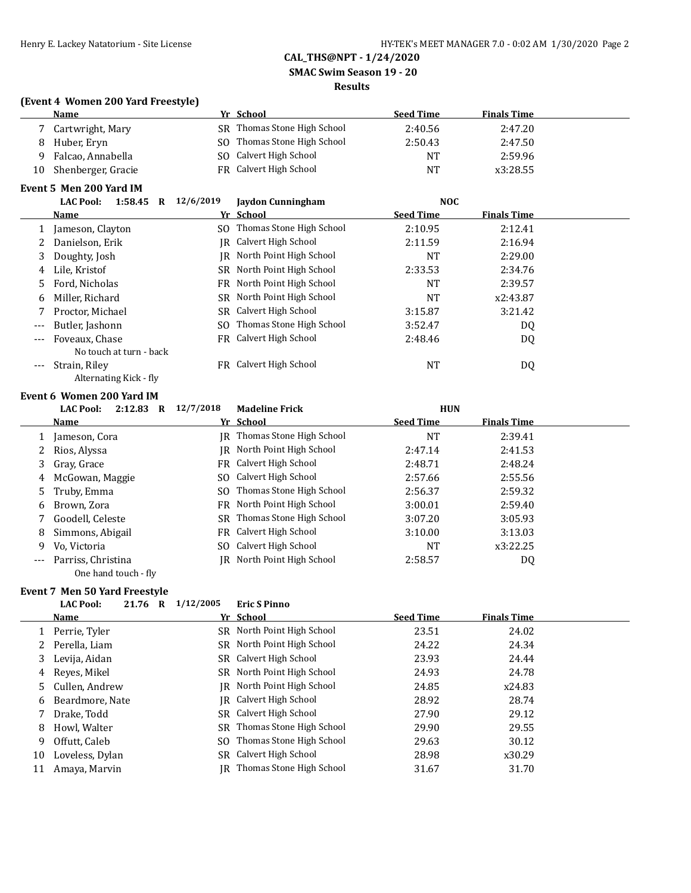**SMAC Swim Season 19 - 20**

#### **Results**

### **(Event 4 Women 200 Yard Freestyle)**

|    | <b>Name</b>        | Yr School                   | <b>Seed Time</b> | <b>Finals Time</b> |
|----|--------------------|-----------------------------|------------------|--------------------|
|    | Cartwright, Mary   | SR Thomas Stone High School | 2:40.56          | 2:47.20            |
| 8  | Huber, Ervn        | SO Thomas Stone High School | 2:50.43          | 2:47.50            |
| Q  | Falcao, Annabella  | SO Calvert High School      | NT               | 2:59.96            |
| 10 | Shenberger, Gracie | FR Calvert High School      | <b>NT</b>        | x3:28.55           |

### **Event 5 Men 200 Yard IM**

|       | <b>LAC Pool:</b><br>1:58.45<br>R | 12/6/2019 | <b>Jaydon Cunningham</b>   | <b>NOC</b>       |                    |  |
|-------|----------------------------------|-----------|----------------------------|------------------|--------------------|--|
|       | <b>Name</b>                      |           | Yr School                  | <b>Seed Time</b> | <b>Finals Time</b> |  |
|       | Jameson, Clayton                 | SO.       | Thomas Stone High School   | 2:10.95          | 2:12.41            |  |
|       | Danielson, Erik                  | IR        | Calvert High School        | 2:11.59          | 2:16.94            |  |
|       | Doughty, Josh                    | IR        | North Point High School    | <b>NT</b>        | 2:29.00            |  |
| 4     | Lile, Kristof                    |           | SR North Point High School | 2:33.53          | 2:34.76            |  |
| 5.    | Ford, Nicholas                   | FR        | North Point High School    | <b>NT</b>        | 2:39.57            |  |
| 6     | Miller, Richard                  | SR.       | North Point High School    | <b>NT</b>        | x2:43.87           |  |
|       | Proctor, Michael                 | SR        | Calvert High School        | 3:15.87          | 3:21.42            |  |
| $---$ | Butler, Jashonn                  | SO.       | Thomas Stone High School   | 3:52.47          | DQ                 |  |
| $---$ | Foveaux, Chase                   | FR        | Calvert High School        | 2:48.46          | DQ                 |  |
|       | No touch at turn - back          |           |                            |                  |                    |  |
|       | Strain, Riley                    | FR        | Calvert High School        | <b>NT</b>        | DQ                 |  |
|       | $\cdots$ $\cdots$ $\cdots$       |           |                            |                  |                    |  |

### Alternating Kick - fly

#### **Event 6 Women 200 Yard IM**

|         | 2:12.83<br><b>LAC Pool:</b><br>R | 12/7/2018 | <b>Madeline Frick</b>              | <b>HUN</b>       |                    |
|---------|----------------------------------|-----------|------------------------------------|------------------|--------------------|
|         | <b>Name</b>                      |           | Yr School                          | <b>Seed Time</b> | <b>Finals Time</b> |
|         | Jameson, Cora                    |           | <b>IR</b> Thomas Stone High School | <b>NT</b>        | 2:39.41            |
|         | Rios, Alyssa                     | IR-       | North Point High School            | 2:47.14          | 2:41.53            |
| 3       | Gray, Grace                      |           | FR Calvert High School             | 2:48.71          | 2:48.24            |
| 4       | McGowan, Maggie                  |           | SO Calvert High School             | 2:57.66          | 2:55.56            |
|         | 5 Truby, Emma                    |           | SO Thomas Stone High School        | 2:56.37          | 2:59.32            |
| 6       | Brown, Zora                      |           | FR North Point High School         | 3:00.01          | 2:59.40            |
|         | Goodell, Celeste                 |           | SR Thomas Stone High School        | 3:07.20          | 3:05.93            |
| 8       | Simmons, Abigail                 |           | FR Calvert High School             | 3:10.00          | 3:13.03            |
| 9       | Vo. Victoria                     |           | SO Calvert High School             | <b>NT</b>        | x3:22.25           |
| $- - -$ | Parriss, Christina               |           | IR North Point High School         | 2:58.57          | DQ                 |
|         | One hand touch - fly             |           |                                    |                  |                    |

### **Event 7 Men 50 Yard Freestyle**

#### **LAC Pool: 21.76 R 1/12/2005 Eric S Pinno**

|    | Name             | Yr School                   | <b>Seed Time</b> | <b>Finals Time</b> |
|----|------------------|-----------------------------|------------------|--------------------|
|    | 1 Perrie, Tyler  | SR North Point High School  | 23.51            | 24.02              |
|    | 2 Perella, Liam  | SR North Point High School  | 24.22            | 24.34              |
| 3  | Levija, Aidan    | SR Calvert High School      | 23.93            | 24.44              |
|    | 4 Reves, Mikel   | SR North Point High School  | 24.93            | 24.78              |
|    | 5 Cullen, Andrew | IR North Point High School  | 24.85            | x24.83             |
| 6  | Beardmore, Nate  | IR Calvert High School      | 28.92            | 28.74              |
|    | Drake, Todd      | SR Calvert High School      | 27.90            | 29.12              |
| 8  | Howl, Walter     | SR Thomas Stone High School | 29.90            | 29.55              |
| 9  | Offutt, Caleb    | SO Thomas Stone High School | 29.63            | 30.12              |
| 10 | Loveless, Dylan  | SR Calvert High School      | 28.98            | x30.29             |
| 11 | Amaya, Marvin    | IR Thomas Stone High School | 31.67            | 31.70              |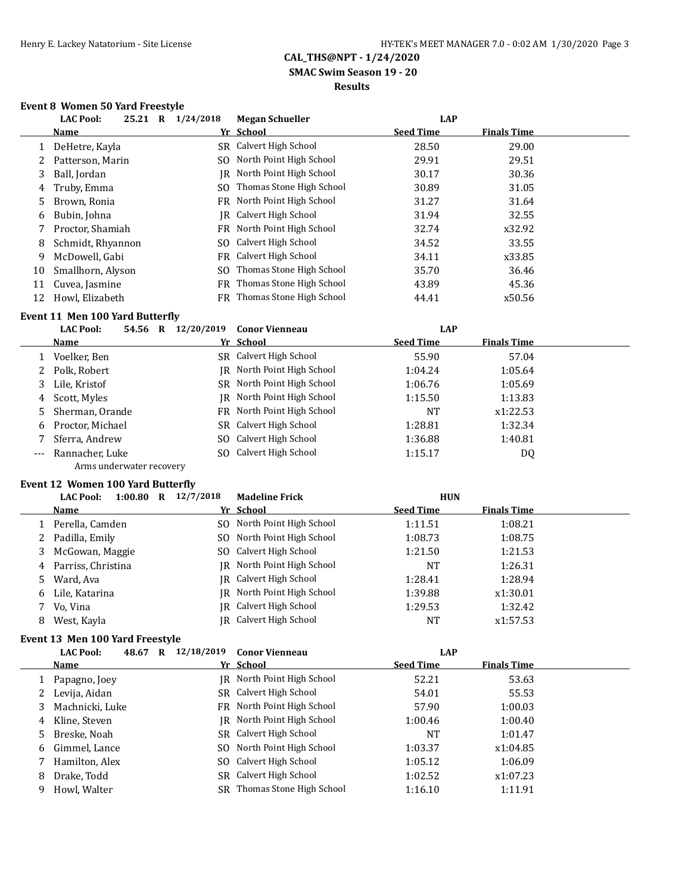**SMAC Swim Season 19 - 20**

### **Results**

### **Event 8 Women 50 Yard Freestyle**

|    | <b>LAC Pool:</b><br>25.21<br>$\bf{R}$ | 1/24/2018 | <b>Megan Schueller</b>      | <b>LAP</b>       |                    |  |
|----|---------------------------------------|-----------|-----------------------------|------------------|--------------------|--|
|    | <b>Name</b>                           |           | Yr School                   | <b>Seed Time</b> | <b>Finals Time</b> |  |
|    | DeHetre, Kayla                        |           | SR Calvert High School      | 28.50            | 29.00              |  |
| 2  | Patterson, Marin                      | SO.       | North Point High School     | 29.91            | 29.51              |  |
| 3  | Ball, Jordan                          | IR        | North Point High School     | 30.17            | 30.36              |  |
| 4  | Truby, Emma                           |           | SO Thomas Stone High School | 30.89            | 31.05              |  |
| 5. | Brown, Ronia                          |           | FR North Point High School  | 31.27            | 31.64              |  |
| 6  | Bubin, Johna                          | IR        | Calvert High School         | 31.94            | 32.55              |  |
|    | Proctor, Shamiah                      |           | FR North Point High School  | 32.74            | x32.92             |  |
| 8  | Schmidt, Rhyannon                     | SO.       | Calvert High School         | 34.52            | 33.55              |  |
| 9  | McDowell, Gabi                        | FR        | Calvert High School         | 34.11            | x33.85             |  |
| 10 | Smallhorn, Alyson                     | SO.       | Thomas Stone High School    | 35.70            | 36.46              |  |
| 11 | Cuvea, Jasmine                        | FR        | Thomas Stone High School    | 43.89            | 45.36              |  |
| 12 | Howl, Elizabeth                       |           | FR Thomas Stone High School | 44.41            | x50.56             |  |

### **Event 11 Men 100 Yard Butterfly**

|       | <b>LAC Pool:</b><br>54.56<br>R | 12/20/2019 | <b>Conor Vienneau</b>      | LAP              |                    |  |
|-------|--------------------------------|------------|----------------------------|------------------|--------------------|--|
|       | <b>Name</b>                    |            | Yr School                  | <b>Seed Time</b> | <b>Finals Time</b> |  |
|       | Voelker, Ben                   |            | SR Calvert High School     | 55.90            | 57.04              |  |
|       | 2 Polk, Robert                 |            | IR North Point High School | 1:04.24          | 1:05.64            |  |
|       | 3 Lile, Kristof                |            | SR North Point High School | 1:06.76          | 1:05.69            |  |
|       | 4 Scott, Myles                 |            | IR North Point High School | 1:15.50          | 1:13.83            |  |
|       | 5 Sherman, Orande              |            | FR North Point High School | NT               | x1:22.53           |  |
|       | 6 Proctor, Michael             |            | SR Calvert High School     | 1:28.81          | 1:32.34            |  |
|       | Sferra, Andrew                 |            | SO Calvert High School     | 1:36.88          | 1:40.81            |  |
| $---$ | Rannacher, Luke                |            | SO Calvert High School     | 1:15.17          | DQ                 |  |
|       | Arms underwater recovery       |            |                            |                  |                    |  |

### **Event 12 Women 100 Yard Butterfly**

|   | <b>LAC Pool:</b><br>1:00.80<br>R | 12/7/2018<br><b>Madeline Frick</b> |                  | <b>HUN</b>         |  |
|---|----------------------------------|------------------------------------|------------------|--------------------|--|
|   | Name                             | Yr School                          | <b>Seed Time</b> | <b>Finals Time</b> |  |
|   | 1 Perella, Camden                | SO North Point High School         | 1:11.51          | 1:08.21            |  |
|   | 2 Padilla, Emily                 | SO North Point High School         | 1:08.73          | 1:08.75            |  |
|   | 3 McGowan, Maggie                | SO Calvert High School             | 1:21.50          | 1:21.53            |  |
|   | 4 Parriss, Christina             | IR North Point High School         | NT               | 1:26.31            |  |
|   | 5 Ward, Ava                      | <b>IR</b> Calvert High School      | 1:28.41          | 1:28.94            |  |
|   | 6 Lile, Katarina                 | IR North Point High School         | 1:39.88          | x1:30.01           |  |
|   | Vo, Vina                         | JR Calvert High School             | 1:29.53          | 1:32.42            |  |
| 8 | West, Kayla                      | IR Calvert High School             | <b>NT</b>        | x1:57.53           |  |

### **Event 13 Men 100 Yard Freestyle**

|   | <b>LAC Pool:</b><br>48.67 | R | 12/18/2019 | <b>Conor Vienneau</b>       | LAP              |                    |  |
|---|---------------------------|---|------------|-----------------------------|------------------|--------------------|--|
|   | <b>Name</b>               |   |            | Yr School                   | <b>Seed Time</b> | <b>Finals Time</b> |  |
|   | Papagno, Joey             |   |            | IR North Point High School  | 52.21            | 53.63              |  |
|   | 2 Levija, Aidan           |   |            | SR Calvert High School      | 54.01            | 55.53              |  |
|   | 3 Machnicki, Luke         |   |            | FR North Point High School  | 57.90            | 1:00.03            |  |
| 4 | Kline, Steven             |   |            | IR North Point High School  | 1:00.46          | 1:00.40            |  |
| 5 | Breske, Noah              |   |            | SR Calvert High School      | <b>NT</b>        | 1:01.47            |  |
| 6 | Gimmel, Lance             |   |            | SO North Point High School  | 1:03.37          | x1:04.85           |  |
|   | Hamilton, Alex            |   |            | SO Calvert High School      | 1:05.12          | 1:06.09            |  |
| 8 | Drake, Todd               |   |            | SR Calvert High School      | 1:02.52          | x1:07.23           |  |
| 9 | Howl, Walter              |   |            | SR Thomas Stone High School | 1:16.10          | 1:11.91            |  |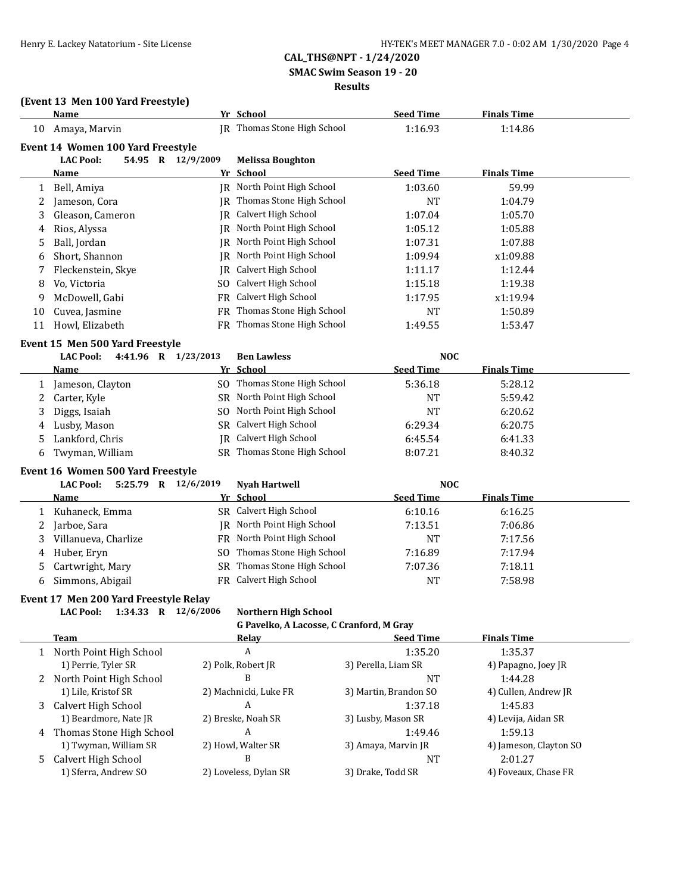**SMAC Swim Season 19 - 20**

#### **Results**

### **(Event 13 Men 100 Yard Freestyle)**

|    | <b>Name</b>                             |                   | Yr School                                | <b>Seed Time</b>      | <b>Finals Time</b>   |  |
|----|-----------------------------------------|-------------------|------------------------------------------|-----------------------|----------------------|--|
| 10 | Amaya, Marvin                           |                   | JR Thomas Stone High School              | 1:16.93               | 1:14.86              |  |
|    | Event 14 Women 100 Yard Freestyle       |                   |                                          |                       |                      |  |
|    | <b>LAC Pool:</b>                        | 54.95 R 12/9/2009 | <b>Melissa Boughton</b>                  |                       |                      |  |
|    | <b>Name</b>                             |                   | Yr School                                | <b>Seed Time</b>      | <b>Finals Time</b>   |  |
| 1  | Bell, Amiya                             |                   | JR North Point High School               | 1:03.60               | 59.99                |  |
| 2  | Jameson, Cora                           |                   | JR Thomas Stone High School              | <b>NT</b>             | 1:04.79              |  |
| 3  | Gleason, Cameron                        |                   | JR Calvert High School                   | 1:07.04               | 1:05.70              |  |
| 4  | Rios, Alyssa                            |                   | IR North Point High School               | 1:05.12               | 1:05.88              |  |
| 5  | Ball, Jordan                            |                   | JR North Point High School               | 1:07.31               | 1:07.88              |  |
| 6  | Short, Shannon                          |                   | JR North Point High School               | 1:09.94               | x1:09.88             |  |
| 7  | Fleckenstein, Skye                      |                   | JR Calvert High School                   | 1:11.17               | 1:12.44              |  |
| 8  | Vo, Victoria                            |                   | SO Calvert High School                   | 1:15.18               | 1:19.38              |  |
| 9  | McDowell, Gabi                          |                   | FR Calvert High School                   | 1:17.95               | x1:19.94             |  |
| 10 | Cuvea, Jasmine                          |                   | FR Thomas Stone High School              | <b>NT</b>             | 1:50.89              |  |
| 11 | Howl, Elizabeth                         |                   | FR Thomas Stone High School              | 1:49.55               | 1:53.47              |  |
|    | Event 15 Men 500 Yard Freestyle         |                   |                                          |                       |                      |  |
|    | 4:41.96 R 1/23/2013<br><b>LAC Pool:</b> |                   | <b>Ben Lawless</b>                       | <b>NOC</b>            |                      |  |
|    | Name                                    |                   | Yr School                                | <b>Seed Time</b>      | <b>Finals Time</b>   |  |
| 1  | Jameson, Clayton                        |                   | SO Thomas Stone High School              | 5:36.18               | 5:28.12              |  |
| 2  | Carter, Kyle                            |                   | SR North Point High School               | <b>NT</b>             | 5:59.42              |  |
| 3  | Diggs, Isaiah                           |                   | SO North Point High School               | <b>NT</b>             | 6:20.62              |  |
| 4  | Lusby, Mason                            |                   | SR Calvert High School                   | 6:29.34               | 6:20.75              |  |
| 5  | Lankford, Chris                         |                   | <b>IR</b> Calvert High School            | 6:45.54               | 6:41.33              |  |
| 6  | Twyman, William                         |                   | SR Thomas Stone High School              | 8:07.21               | 8:40.32              |  |
|    | Event 16 Women 500 Yard Freestyle       |                   |                                          |                       |                      |  |
|    | <b>LAC Pool:</b><br>5:25.79 R 12/6/2019 |                   | <b>Nyah Hartwell</b>                     | <b>NOC</b>            |                      |  |
|    | Name                                    |                   | Yr School                                | <b>Seed Time</b>      | <b>Finals Time</b>   |  |
| 1  | Kuhaneck, Emma                          |                   | SR Calvert High School                   | 6:10.16               | 6:16.25              |  |
| 2  | Jarboe, Sara                            |                   | JR North Point High School               | 7:13.51               | 7:06.86              |  |
| 3  | Villanueva, Charlize                    |                   | FR North Point High School               | <b>NT</b>             | 7:17.56              |  |
| 4  | Huber, Eryn                             |                   | SO Thomas Stone High School              | 7:16.89               | 7:17.94              |  |
| 5  | Cartwright, Mary                        |                   | SR Thomas Stone High School              | 7:07.36               | 7:18.11              |  |
| 6  | Simmons, Abigail                        |                   | FR Calvert High School                   | <b>NT</b>             | 7:58.98              |  |
|    | Event 17 Men 200 Yard Freestyle Relay   |                   |                                          |                       |                      |  |
|    | LAC Pool: 1:34.33 R 12/6/2006           |                   | Northern High School                     |                       |                      |  |
|    |                                         |                   | G Pavelko, A Lacosse, C Cranford, M Gray |                       |                      |  |
|    | Team                                    |                   | <b>Relay</b>                             | <b>Seed Time</b>      | <b>Finals Time</b>   |  |
|    | 1 North Point High School               |                   | A                                        | 1:35.20               | 1:35.37              |  |
|    | 1) Perrie, Tyler SR                     |                   | 2) Polk, Robert JR                       | 3) Perella, Liam SR   | 4) Papagno, Joey JR  |  |
|    | 2 North Point High School               |                   | B                                        | <b>NT</b>             | 1:44.28              |  |
|    | 1) Lile, Kristof SR                     |                   | 2) Machnicki, Luke FR                    | 3) Martin, Brandon SO | 4) Cullen, Andrew JR |  |
|    | 3 Calvert High School                   |                   | A                                        | 1:37.18               | 1:45.83              |  |

1) Beardmore, Nate JR 2) Breske, Noah SR 3) Lusby, Mason SR 4) Levija, Aidan SR

5 Calvert High School B<br>
1) Sferra, Andrew SO 2) Loveless, Dylan SR 3) Drake, Todd SR 4) Foveaux, Chase FR

1) Twyman, William SR 2) Howl, Walter SR 3) Amaya, Marvin JR 4) Jameson, Clayton SO

4 Thomas Stone High School A 1:49.46 1:59.13

1) Sferra, Andrew SO 2) Loveless, Dylan SR 3) Drake, Todd SR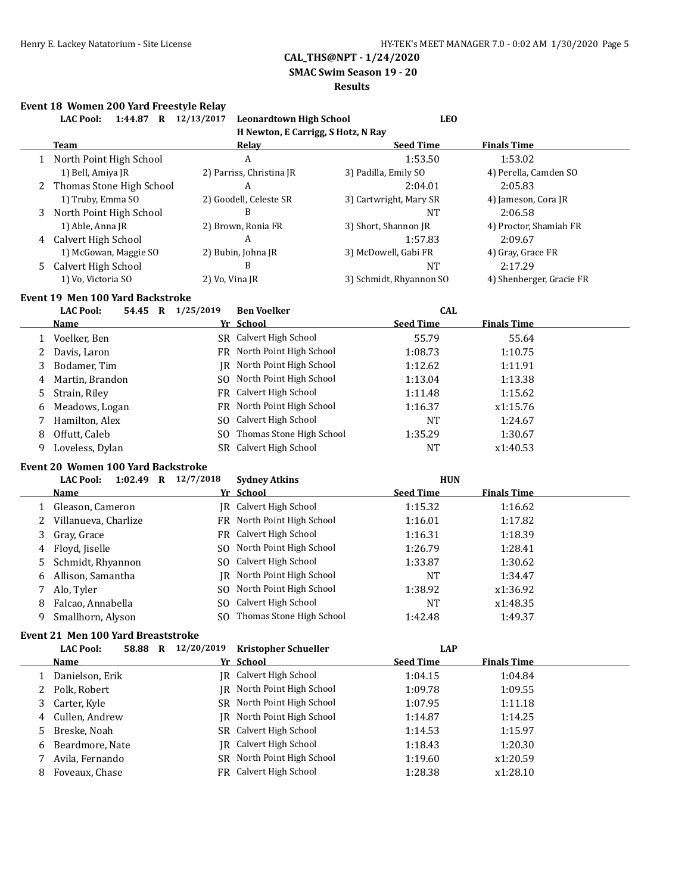**SMAC Swim Season 19 - 20**

#### **Results**

|   | 1:44.87 R 12/13/2017<br><b>LAC Pool:</b>  |                | <b>Leonardtown High School</b>     | <b>LEO</b>              |                          |
|---|-------------------------------------------|----------------|------------------------------------|-------------------------|--------------------------|
|   |                                           |                | H Newton, E Carrigg, S Hotz, N Ray |                         |                          |
|   | <b>Team</b>                               |                | <u>Relav</u>                       | <b>Seed Time</b>        | <b>Finals Time</b>       |
|   | 1 North Point High School                 |                | A                                  | 1:53.50                 | 1:53.02                  |
|   | 1) Bell, Amiya JR                         |                | 2) Parriss, Christina JR           | 3) Padilla, Emily SO    | 4) Perella, Camden SO    |
|   | 2 Thomas Stone High School                |                | A                                  | 2:04.01                 | 2:05.83                  |
|   | 1) Truby, Emma SO                         |                | 2) Goodell, Celeste SR             | 3) Cartwright, Mary SR  | 4) Jameson, Cora JR      |
| 3 | North Point High School                   |                | B                                  | <b>NT</b>               | 2:06.58                  |
|   | 1) Able, Anna JR                          |                | 2) Brown, Ronia FR                 | 3) Short, Shannon JR    | 4) Proctor, Shamiah FR   |
|   | 4 Calvert High School                     |                | A                                  | 1:57.83                 | 2:09.67                  |
|   | 1) McGowan, Maggie SO                     |                | 2) Bubin, Johna JR                 | 3) McDowell, Gabi FR    | 4) Gray, Grace FR        |
| 5 | Calvert High School                       |                | B                                  | <b>NT</b>               | 2:17.29                  |
|   | 1) Vo, Victoria SO                        | 2) Vo, Vina JR |                                    | 3) Schmidt, Rhyannon SO | 4) Shenberger, Gracie FR |
|   | <b>Event 19 Men 100 Yard Backstroke</b>   |                |                                    |                         |                          |
|   | <b>LAC Pool:</b><br>54.45 R 1/25/2019     |                | <b>Ben Voelker</b>                 | <b>CAL</b>              |                          |
|   | <b>Name</b>                               |                | Yr School                          | <b>Seed Time</b>        | <b>Finals Time</b>       |
| 1 | Voelker, Ben                              |                | SR Calvert High School             | 55.79                   | 55.64                    |
| 2 | Davis, Laron                              |                | FR North Point High School         | 1:08.73                 | 1:10.75                  |
| 3 | Bodamer, Tim                              |                | JR North Point High School         | 1:12.62                 | 1:11.91                  |
| 4 | Martin, Brandon                           |                | SO North Point High School         | 1:13.04                 | 1:13.38                  |
| 5 | Strain, Riley                             |                | FR Calvert High School             | 1:11.48                 | 1:15.62                  |
| 6 | Meadows, Logan                            |                | FR North Point High School         | 1:16.37                 | x1:15.76                 |
| 7 | Hamilton, Alex                            | SO.            | Calvert High School                | <b>NT</b>               | 1:24.67                  |
| 8 | Offutt, Caleb                             | SO.            | Thomas Stone High School           | 1:35.29                 | 1:30.67                  |
| 9 | Loveless, Dylan                           |                | SR Calvert High School             | <b>NT</b>               | x1:40.53                 |
|   | <b>Event 20 Women 100 Yard Backstroke</b> |                |                                    |                         |                          |
|   | 1:02.49 R 12/7/2018<br><b>LAC Pool:</b>   |                | <b>Sydney Atkins</b>               | <b>HUN</b>              |                          |
|   | <b>Name</b>                               |                | Yr School                          | <b>Seed Time</b>        | <b>Finals Time</b>       |
| 1 | Gleason, Cameron                          |                | <b>IR</b> Calvert High School      | 1:15.32                 | 1:16.62                  |
| 2 | Villanueva, Charlize                      |                | FR North Point High School         | 1:16.01                 | 1:17.82                  |
| 3 | Gray, Grace                               |                | FR Calvert High School             | 1:16.31                 | 1:18.39                  |
| 4 | Floyd, Jiselle                            | SO.            | North Point High School            | 1:26.79                 | 1:28.41                  |
| 5 | Schmidt, Rhyannon                         | SO.            | Calvert High School                | 1:33.87                 | 1:30.62                  |
| 6 | Allison, Samantha                         |                | JR North Point High School         | <b>NT</b>               | 1:34.47                  |
| 7 | Alo, Tyler                                |                | SO North Point High School         | 1:38.92                 | x1:36.92                 |
| 8 | Falcao, Annabella                         |                | SO Calvert High School             | <b>NT</b>               | x1:48.35                 |
| 9 | Smallhorn, Alyson                         |                | SO Thomas Stone High School        | 1:42.48                 | 1:49.37                  |
|   | Event 21 Men 100 Yard Breaststroke        |                |                                    |                         |                          |
|   | 58.88 R 12/20/2019<br><b>LAC Pool:</b>    |                | <b>Kristopher Schueller</b>        | <b>LAP</b>              |                          |
|   | <b>Name</b>                               |                | Yr School                          | <b>Seed Time</b>        | <b>Finals Time</b>       |
| 1 | Danielson, Erik                           |                | JR Calvert High School             | 1:04.15                 | 1:04.84                  |
|   | 2 Polk, Robert                            |                | JR North Point High School         | 1:09.78                 | 1:09.55                  |

3 Carter, Kyle SR North Point High School 1:07.95 1:11.18 4 Cullen, Andrew JR North Point High School 1:14.87 1:14.25 5 Breske, Noah SR Calvert High School 1:14.53 1:15.97 6 Beardmore, Nate JR Calvert High School 1:18.43 1:20.30 7 Avila, Fernando SR North Point High School 1:19.60 x1:20.59 8 Foveaux, Chase FR Calvert High School 1:28.38 x1:28.10